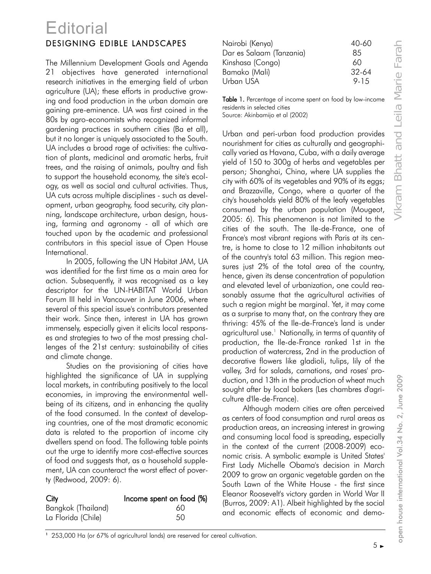## DESIGNING EDIBLE LANDSCAPES **Editorial**

The Millennium Development Goals and Agenda 21 objectives have generated international research initiatives in the emerging field of urban agriculture (UA); these efforts in productive growing and food production in the urban domain are gaining pre-eminence. UA was first coined in the 80s by agro-economists who recognized informal gardening practices in southern cities (Ba et all), but it no longer is uniquely associated to the South. UA includes a broad rage of activities: the cultivation of plants, medicinal and aromatic herbs, fruit trees, and the raising of animals, poultry and fish to support the household economy, the site's ecology, as well as social and cultural activities. Thus, UA cuts across multiple disciplines - such as development, urban geography, food security, city planning, landscape architecture, urban design, housing, farming and agronomy - all of which are touched upon by the academic and professional contributors in this special issue of Open House International.

In 2005, following the UN Habitat JAM, UA was identified for the first time as a main area for action. Subsequently, it was recognised as a key descriptor for the UN-HABITAT World Urban Forum III held in Vancouver in June 2006, where several of this special issue's contributors presented their work. Since then, interest in UA has grown immensely, especially given it elicits local responses and strategies to two of the most pressing challenges of the 21st century: sustainability of cities and climate change.

Studies on the provisioning of cities have highlighted the significance of UA in supplying local markets, in contributing positively to the local economies, in improving the environmental wellbeing of its citizens, and in enhancing the quality of the food consumed. In the context of developing countries, one of the most dramatic economic data is related to the proportion of income city dwellers spend on food. The following table points out the urge to identify more cost-effective sources of food and suggests that, as a household supplement, UA can counteract the worst effect of poverty (Redwood, 2009: 6).

| City               | Income spent on food (%) |
|--------------------|--------------------------|
| Bangkok (Thailand) | 60                       |
| La Florida (Chile) | 50                       |

| Nairobi (Kenya)          | 40-60   |
|--------------------------|---------|
| Dar es Salaam (Tanzania) | 85      |
| Kinshasa (Congo)         | 60      |
| Bamako (Mali)            | $32-64$ |
| Urban USA                | 9-15    |
|                          |         |

Table 1. Percentage of income spent on food by low-income residents in selected cities Source: Akinbamijo et al (2002)

Urban and peri-urban food production provides nourishment for cities as culturally and geographically varied as Havana, Cuba, with a daily average yield of 150 to 300g of herbs and vegetables per person; Shanghai, China, where UA supplies the city with 60% of its vegetables and 90% of its eggs; and Brazzaville, Congo, where a quarter of the city's households yield 80% of the leafy vegetables consumed by the urban population (Mougeot, 2005: 6). This phenomenon is not limited to the cities of the south. The Ile-de-France, one of France's most vibrant regions with Paris at its centre, is home to close to 12 million inhabitants out of the country's total 63 million. This region measures just 2% of the total area of the country, hence, given its dense concentration of population and elevated level of urbanization, one could reasonably assume that the agricultural activities of such a region might be marginal. Yet, it may come as a surprise to many that, on the contrary they are thriving: 45% of the Ile-de-France's land is under agricultural use.<sup>1</sup> Nationally, in terms of quantity of production, the Ile-de-France ranked 1st in the production of watercress, 2nd in the production of decorative flowers like gladioli, tulips, lily of the valley, 3rd for salads, carnations, and roses' production, and 13th in the production of wheat much sought after by local bakers (Les chambres d'agriculture d'Ile-de-France).

Although modern cities are often perceived as centers of food consumption and rural areas as production areas, an increasing interest in growing and consuming local food is spreading, especially in the context of the current (2008-2009) economic crisis. A symbolic example is United States' First Lady Michelle Obama's decision in March 2009 to grow an organic vegetable garden on the South Lawn of the White House - the first since Eleanor Roosevelt's victory garden in World War II (Burros, 2009: A1). Albeit highlighted by the social and economic effects of economic and demo-

<sup>1</sup> 253,000 Ha (or 67% of agricultural lands) are reserved for cereal cultivation.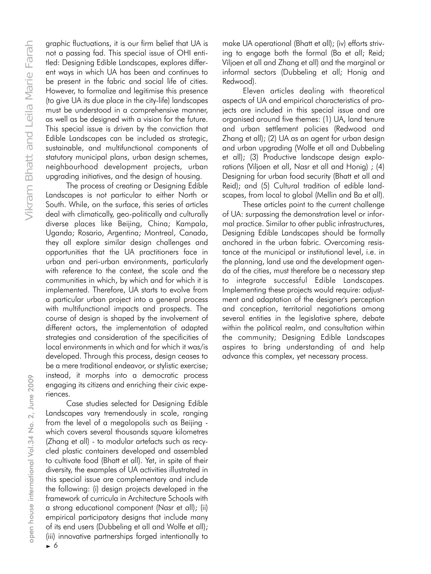graphic fluctuations, it is our firm belief that UA is not a passing fad. This special issue of OHI entitled: Designing Edible Landscapes, explores different ways in which UA has been and continues to be present in the fabric and social life of cities. However, to formalize and legitimise this presence (to give UA its due place in the city-life) landscapes must be understood in a comprehensive manner, as well as be designed with a vision for the future. This special issue is driven by the conviction that Edible Landscapes can be included as strategic, sustainable, and multifunctional components of statutory municipal plans, urban design schemes, neighbourhood development projects, urban upgrading initiatives, and the design of housing.

The process of creating or Designing Edible Landscapes is not particular to either North or South. While, on the surface, this series of articles deal with climatically, geo-politically and culturally diverse places like Beijing, China; Kampala, Uganda; Rosario, Argentina; Montreal, Canada, they all explore similar design challenges and opportunities that the UA practitioners face in urban and peri-urban environments, particularly with reference to the context, the scale and the communities in which, by which and for which it is implemented. Therefore, UA starts to evolve from a particular urban project into a general process with multifunctional impacts and prospects. The course of design is shaped by the involvement of different actors, the implementation of adapted strategies and consideration of the specificities of local environments in which and for which it was/is developed. Through this process, design ceases to be a mere traditional endeavor, or stylistic exercise; instead, it morphs into a democratic process engaging its citizens and enriching their civic experiences.

Case studies selected for Designing Edible Landscapes vary tremendously in scale, ranging from the level of a megalopolis such as Beijing which covers several thousands square kilometres (Zhang et all) - to modular artefacts such as recycled plastic containers developed and assembled to cultivate food (Bhatt et all). Yet, in spite of their diversity, the examples of UA activities illustrated in this special issue are complementary and include the following: (i) design projects developed in the framework of curricula in Architecture Schools with a strong educational component (Nasr et all); (ii) empirical participatory designs that include many of its end users (Dubbeling et all and Wolfe et all); (iii) innovative partnerships forged intentionally to make UA operational (Bhatt et all); (iv) efforts striving to engage both the formal (Ba et all; Reid; Viljoen et all and Zhang et all) and the marginal or informal sectors (Dubbeling et all; Honig and Redwood).

Eleven articles dealing with theoretical aspects of UA and empirical characteristics of projects are included in this special issue and are organised around five themes: (1) UA, land tenure and urban settlement policies (Redwood and Zhang et all); (2) UA as an agent for urban design and urban upgrading (Wolfe et all and Dubbeling et all); (3) Productive landscape design explorations (Viljoen et all, Nasr et all and Honig) ; (4) Designing for urban food security (Bhatt et all and Reid); and (5) Cultural tradition of edible landscapes, from local to global (Mellin and Ba et all).

These articles point to the current challenge of UA: surpassing the demonstration level or informal practice. Similar to other public infrastructures, Designing Edible Landscapes should be formally anchored in the urban fabric. Overcoming resistance at the municipal or institutional level, i.e. in the planning, land use and the development agenda of the cities, must therefore be a necessary step to integrate successful Edible Landscapes. Implementing these projects would require: adjustment and adaptation of the designer's perception and conception, territorial negotiations among several entities in the legislative sphere, debate within the political realm, and consultation within the community; Designing Edible Landscapes aspires to bring understanding of and help advance this complex, yet necessary process.